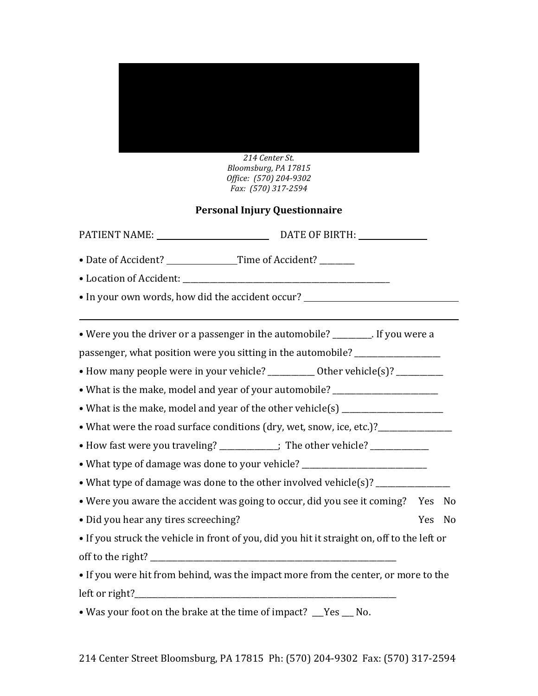

*214\$Center\$St. Bloomsburg,\$PA\$17815 Office:* (570) 204-9302 *Fax:* (570) 317-2594

## **Personal)Injury)Questionnaire**

| • Date of Accident? ___________________Time of Accident? ________                |                                                                                             |            |                |  |  |  |  |
|----------------------------------------------------------------------------------|---------------------------------------------------------------------------------------------|------------|----------------|--|--|--|--|
|                                                                                  |                                                                                             |            |                |  |  |  |  |
|                                                                                  | • In your own words, how did the accident occur? _______________________________            |            |                |  |  |  |  |
|                                                                                  | • Were you the driver or a passenger in the automobile? ________. If you were a             |            |                |  |  |  |  |
|                                                                                  | passenger, what position were you sitting in the automobile? ___________________            |            |                |  |  |  |  |
| • How many people were in your vehicle? ___________ Other vehicle(s)? __________ |                                                                                             |            |                |  |  |  |  |
|                                                                                  | • What is the make, model and year of your automobile? _________________________            |            |                |  |  |  |  |
| • What is the make, model and year of the other vehicle(s) _____________________ |                                                                                             |            |                |  |  |  |  |
| • What were the road surface conditions (dry, wet, snow, ice, etc.)?____________ |                                                                                             |            |                |  |  |  |  |
| • How fast were you traveling? ___________; The other vehicle? _____________     |                                                                                             |            |                |  |  |  |  |
|                                                                                  | • What type of damage was done to your vehicle? ________________________________            |            |                |  |  |  |  |
|                                                                                  | • What type of damage was done to the other involved vehicle(s)? _______________            |            |                |  |  |  |  |
|                                                                                  | • Were you aware the accident was going to occur, did you see it coming? Yes                |            | No             |  |  |  |  |
| · Did you hear any tires screeching?                                             |                                                                                             | <b>Yes</b> | N <sub>0</sub> |  |  |  |  |
|                                                                                  | • If you struck the vehicle in front of you, did you hit it straight on, off to the left or |            |                |  |  |  |  |
|                                                                                  |                                                                                             |            |                |  |  |  |  |
|                                                                                  | • If you were hit from behind, was the impact more from the center, or more to the          |            |                |  |  |  |  |
|                                                                                  |                                                                                             |            |                |  |  |  |  |
| • Was your foot on the brake at the time of impact? Thes No.                     |                                                                                             |            |                |  |  |  |  |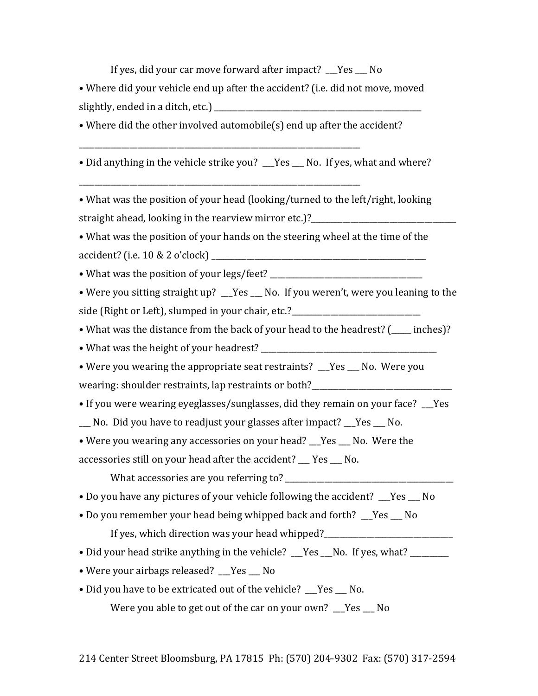If yes, did your car move forward after impact? Yes  $\blacksquare$  No

• Where did your vehicle end up after the accident? (i.e. did not move, moved slightly, ended in a ditch, etc.)  $\qquad \qquad$ 

• Where did the other involved automobile(s) end up after the accident?

\_\_\_\_\_\_\_\_\_\_\_\_\_\_\_\_\_\_\_\_\_\_\_\_\_\_\_\_\_\_\_\_\_\_\_\_\_\_\_\_\_\_\_\_\_\_\_\_\_\_\_\_\_\_\_\_\_\_\_\_\_\_\_\_\_\_\_\_\_\_\_\_\$

\_\_\_\_\_\_\_\_\_\_\_\_\_\_\_\_\_\_\_\_\_\_\_\_\_\_\_\_\_\_\_\_\_\_\_\_\_\_\_\_\_\_\_\_\_\_\_\_\_\_\_\_\_\_\_\_\_\_\_\_\_\_\_\_\_\_\_\_\_\_\_\_\$

• Did anything in the vehicle strike you? \_\_Yes \_\_ No. If yes, what and where?

• What was the position of your head (looking/turned to the left/right, looking straight ahead, looking in the rearview mirror etc.)?

• What was the position of your hands on the steering wheel at the time of the accident? (i.e.  $10 & 2 \text{ o'clock}$ )

•\$What\$was\$the\$position\$of\$your\$legs/feet?\$\_\_\_\_\_\_\_\_\_\_\_\_\_\_\_\_\_\_\_\_\_\_\_\_\_\_\_\_\_\_\_\_\_\_\_\_\_\_\_\$

• Were you sitting straight up? \_\_Yes \_\_ No. If you weren't, were you leaning to the side (Right or Left), slumped in your chair, etc.?

• What was the distance from the back of your head to the headrest? (\_\_\_\_ inches)?

• What was the height of your headrest?  $\_$ 

• Were you wearing the appropriate seat restraints?  $\Gamma$  Yes  $\Gamma$  No. Were you wearing: shoulder restraints, lap restraints or both?\_\_\_\_\_\_\_\_\_\_\_\_\_\_\_\_\_\_\_\_\_\_\_\_\_\_\_

- If you were wearing eyeglasses/sunglasses, did they remain on your face? Thes
- No. Did you have to readjust your glasses after impact? Yes No.

• Were you wearing any accessories on your head? \_\_Yes \_\_ No. Were the

accessories still on your head after the accident?  $R$  Yes  $R$  No.

What\$accessories\$are\$you\$referring\$to?\$\_\_\_\_\_\_\_\_\_\_\_\_\_\_\_\_\_\_\_\_\_\_\_\_\_\_\_\_\_\_\_\_\_\_\_\_\_\_\_\_\_\_\_

• Do you have any pictures of your vehicle following the accident? Thes No

• Do you remember your head being whipped back and forth?  $Yes$   $No$ 

If yes, which direction was your head whipped?

- Did your head strike anything in the vehicle? Figures Less, what?
- Were your airbags released? Yes No
- Did you have to be extricated out of the vehicle? Figs Ro.

Were you able to get out of the car on your own? Yes  $\overline{N}$  No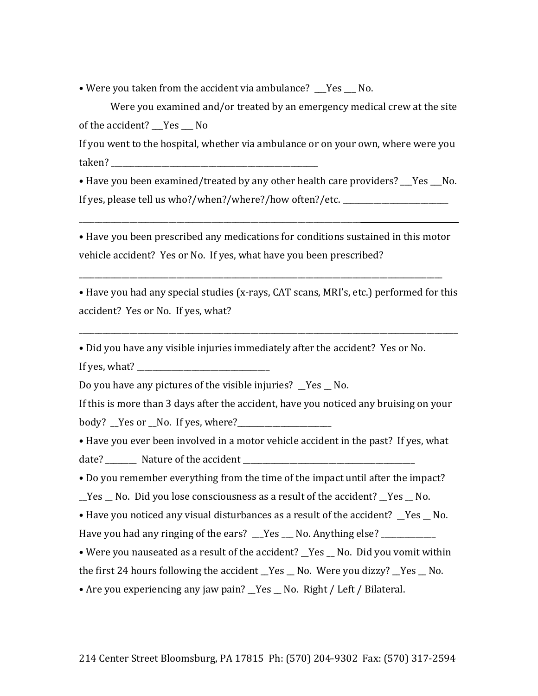• Were you taken from the accident via ambulance? Yes No.

\_\_\_\_\_\_\_\_\_\_\_\_\_\_\_\_\_\_\_\_\_\_\_\_\_\_\_\_\_\_\_\_\_\_\_\_\_\_\_\_\_\_\_\_\_\_\_\_\_\_\_\_\_\_\_\_\_\_\_\_\_\_\_\_\_\_\_\_\_\_\_\_

Were you examined and/or treated by an emergency medical crew at the site of the accident? \_\_Yes \_\_ No

If you went to the hospital, whether via ambulance or on your own, where were you taken?

• Have you been examined/treated by any other health care providers? Yes No. If yes, please tell us who?/when?/where?/how often?/etc.

• Have you been prescribed any medications for conditions sustained in this motor vehicle accident? Yes or No. If yes, what have you been prescribed?

\_\_\_\_\_\_\_\_\_\_\_\_\_\_\_\_\_\_\_\_\_\_\_\_\_\_\_\_\_\_\_\_\_\_\_\_\_\_\_\_\_\_\_\_\_\_\_\_\_\_\_\_\_\_\_\_\_\_\_\_\_\_\_\_\_\_\_\_\_\_\_\_\_\_\_\_\_\_\_\_\_\_\_\_\_\_\_\_\_\_\_\_\_\$\$

• Have you had any special studies (x-rays, CAT scans, MRI's, etc.) performed for this accident? Yes or No. If yes, what?

\_\_\_\_\_\_\_\_\_\_\_\_\_\_\_\_\_\_\_\_\_\_\_\_\_\_\_\_\_\_\_\_\_\_\_\_\_\_\_\_\_\_\_\_\_\_\_\_\_\_\_\_\_\_\_\_\_\_\_\_\_\_\_\_\_\_\_\_\_\_\_\_\_\_\_\_\_\_\_\_\_\_\_\_\_\_\_\_\_\_\_\_\_\_\_\_\_\$\$

• Did you have any visible injuries immediately after the accident? Yes or No. If yes, what?

Do you have any pictures of the visible injuries?  $\gamma$ es  $\gamma$ No.

If this is more than 3 days after the accident, have you noticed any bruising on your body? \_Yes or \_No. If yes, where?\_\_\_\_\_\_\_\_

• Have you ever been involved in a motor vehicle accident in the past? If yes, what date? \_\_\_\_\_\_\_\_\_ Nature of the accident \_\_\_\_\_\_\_\_\_\_

• Do you remember everything from the time of the impact until after the impact?

 $\_\,$ Yes  $\_\,$  No.  $\,$  Did you lose consciousness as a result of the accident?  $\_\,$  Yes  $\_\,$  No.  $\,$ 

• Have you noticed any visual disturbances as a result of the accident?  $Yes$  No. Have you had any ringing of the ears?  $\angle$  Yes  $\angle$  No. Anything else?

• Were you nauseated as a result of the accident?  $Yes$  No. Did you vomit within the first 24 hours following the accident Yes No. Were you dizzy? Yes No.

• Are you experiencing any jaw pain? \_Yes \_ No. Right / Left / Bilateral.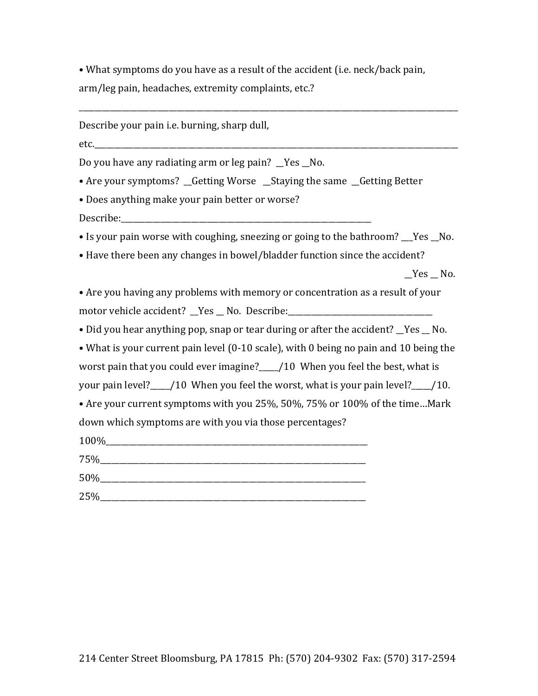• What symptoms do you have as a result of the accident (i.e. neck/back pain, arm/leg pain, headaches, extremity complaints, etc.?

Describe your pain i.e. burning, sharp dull,

etc.

Do you have any radiating arm or leg pain? Yes No.

• Are your symptoms? \_Getting Worse \_Staying the same \_Getting Better

• Does anything make your pain better or worse?

Describe:

• Is your pain worse with coughing, sneezing or going to the bathroom? Yes No.

• Have there been any changes in bowel/bladder function since the accident?

 $Yes$  No.

• Are you having any problems with memory or concentration as a result of your motor vehicle accident? Yes No. Describe:

• Did you hear anything pop, snap or tear during or after the accident? \_Yes \_ No.

• What is your current pain level (0-10 scale), with 0 being no pain and 10 being the worst pain that you could ever imagine? /10 When you feel the best, what is your pain level? 10 When you feel the worst, what is your pain level? 10.

• Are your current symptoms with you 25%, 50%, 75% or 100% of the time... Mark down which symptoms are with you via those percentages?

 $100\%$  $75\%$ 

| 50%            |  |  |
|----------------|--|--|
| 25%<br>_______ |  |  |